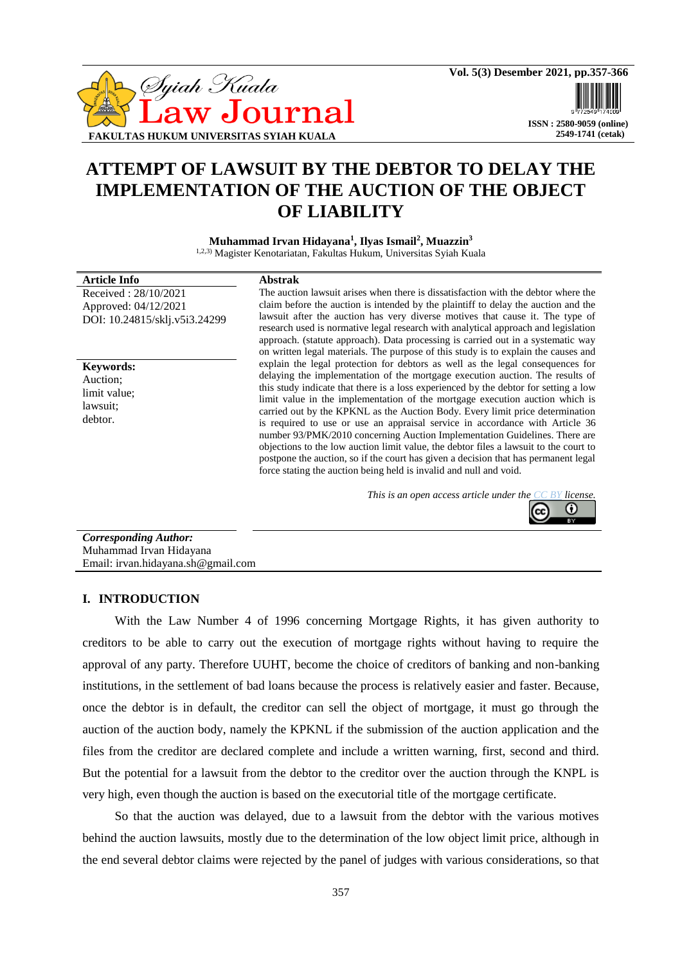

# **2549-1741 (cetak)**

# **ATTEMPT OF LAWSUIT BY THE DEBTOR TO DELAY THE IMPLEMENTATION OF THE AUCTION OF THE OBJECT OF LIABILITY**

**Muhammad Irvan Hidayana<sup>1</sup> , Ilyas Ismail<sup>2</sup> , Muazzin<sup>3</sup>** 1,2,3) Magister Kenotariatan, Fakultas Hukum, Universitas Syiah Kuala

| Article Info                  | <b>Abstrak</b>                                                                                                                                                      |
|-------------------------------|---------------------------------------------------------------------------------------------------------------------------------------------------------------------|
| Received: 28/10/2021          | The auction lawsuit arises when there is dissatisfaction with the debtor where the                                                                                  |
| Approved: 04/12/2021          | claim before the auction is intended by the plaintiff to delay the auction and the                                                                                  |
| DOI: 10.24815/sklj.v5i3.24299 | lawsuit after the auction has very diverse motives that cause it. The type of<br>research used is normative legal research with analytical approach and legislation |
|                               | approach. (statute approach). Data processing is carried out in a systematic way                                                                                    |
|                               | on written legal materials. The purpose of this study is to explain the causes and                                                                                  |
| <b>Keywords:</b>              | explain the legal protection for debtors as well as the legal consequences for                                                                                      |
| Auction:                      | delaying the implementation of the mortgage execution auction. The results of                                                                                       |
| limit value;                  | this study indicate that there is a loss experienced by the debtor for setting a low                                                                                |
| lawsuit:                      | limit value in the implementation of the mortgage execution auction which is                                                                                        |
|                               | carried out by the KPKNL as the Auction Body. Every limit price determination                                                                                       |
| debtor.                       | is required to use or use an appraisal service in accordance with Article 36                                                                                        |

postpone the auction, so if the court has given a decision that has permanent legal force stating the auction being held is invalid and null and void.

number 93/PMK/2010 concerning Auction Implementation Guidelines. There are objections to the low auction limit value, the debtor files a lawsuit to the court to

*This is an open access article under the [CC BY](https://creativecommons.org/licenses/by/4.0/) license.*



*Corresponding Author:* Muhammad Irvan Hidayana Email: irvan.hidayana.sh@gmail.com

# **I. INTRODUCTION**

With the Law Number 4 of 1996 concerning Mortgage Rights, it has given authority to creditors to be able to carry out the execution of mortgage rights without having to require the approval of any party. Therefore UUHT, become the choice of creditors of banking and non-banking institutions, in the settlement of bad loans because the process is relatively easier and faster. Because, once the debtor is in default, the creditor can sell the object of mortgage, it must go through the auction of the auction body, namely the KPKNL if the submission of the auction application and the files from the creditor are declared complete and include a written warning, first, second and third. But the potential for a lawsuit from the debtor to the creditor over the auction through the KNPL is very high, even though the auction is based on the executorial title of the mortgage certificate.

So that the auction was delayed, due to a lawsuit from the debtor with the various motives behind the auction lawsuits, mostly due to the determination of the low object limit price, although in the end several debtor claims were rejected by the panel of judges with various considerations, so that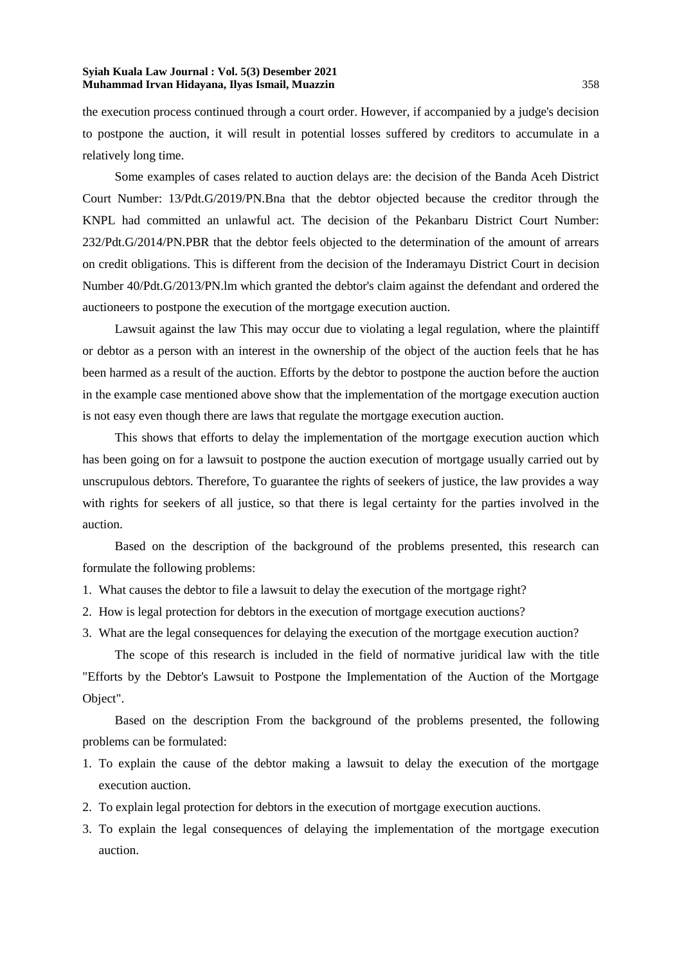the execution process continued through a court order. However, if accompanied by a judge's decision to postpone the auction, it will result in potential losses suffered by creditors to accumulate in a relatively long time.

Some examples of cases related to auction delays are: the decision of the Banda Aceh District Court Number: 13/Pdt.G/2019/PN.Bna that the debtor objected because the creditor through the KNPL had committed an unlawful act. The decision of the Pekanbaru District Court Number: 232/Pdt.G/2014/PN.PBR that the debtor feels objected to the determination of the amount of arrears on credit obligations. This is different from the decision of the Inderamayu District Court in decision Number 40/Pdt.G/2013/PN.lm which granted the debtor's claim against the defendant and ordered the auctioneers to postpone the execution of the mortgage execution auction.

Lawsuit against the law This may occur due to violating a legal regulation, where the plaintiff or debtor as a person with an interest in the ownership of the object of the auction feels that he has been harmed as a result of the auction. Efforts by the debtor to postpone the auction before the auction in the example case mentioned above show that the implementation of the mortgage execution auction is not easy even though there are laws that regulate the mortgage execution auction.

This shows that efforts to delay the implementation of the mortgage execution auction which has been going on for a lawsuit to postpone the auction execution of mortgage usually carried out by unscrupulous debtors. Therefore, To guarantee the rights of seekers of justice, the law provides a way with rights for seekers of all justice, so that there is legal certainty for the parties involved in the auction.

Based on the description of the background of the problems presented, this research can formulate the following problems:

- 1. What causes the debtor to file a lawsuit to delay the execution of the mortgage right?
- 2. How is legal protection for debtors in the execution of mortgage execution auctions?
- 3. What are the legal consequences for delaying the execution of the mortgage execution auction?

The scope of this research is included in the field of normative juridical law with the title "Efforts by the Debtor's Lawsuit to Postpone the Implementation of the Auction of the Mortgage Object".

Based on the description From the background of the problems presented, the following problems can be formulated:

- 1. To explain the cause of the debtor making a lawsuit to delay the execution of the mortgage execution auction.
- 2. To explain legal protection for debtors in the execution of mortgage execution auctions.
- 3. To explain the legal consequences of delaying the implementation of the mortgage execution auction.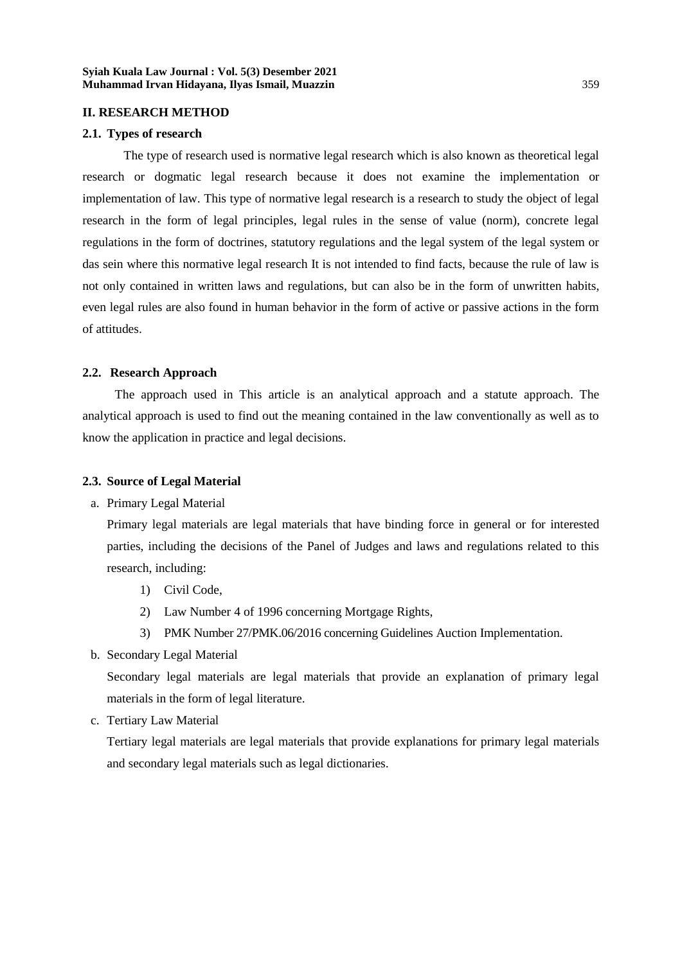## **II. RESEARCH METHOD**

#### **2.1. Types of research**

The type of research used is normative legal research which is also known as theoretical legal research or dogmatic legal research because it does not examine the implementation or implementation of law. This type of normative legal research is a research to study the object of legal research in the form of legal principles, legal rules in the sense of value (norm), concrete legal regulations in the form of doctrines, statutory regulations and the legal system of the legal system or das sein where this normative legal research It is not intended to find facts, because the rule of law is not only contained in written laws and regulations, but can also be in the form of unwritten habits, even legal rules are also found in human behavior in the form of active or passive actions in the form of attitudes.

## **2.2. Research Approach**

The approach used in This article is an analytical approach and a statute approach. The analytical approach is used to find out the meaning contained in the law conventionally as well as to know the application in practice and legal decisions.

# **2.3. Source of Legal Material**

a. Primary Legal Material

Primary legal materials are legal materials that have binding force in general or for interested parties, including the decisions of the Panel of Judges and laws and regulations related to this research, including:

- 1) Civil Code,
- 2) Law Number 4 of 1996 concerning Mortgage Rights,
- 3) PMK Number 27/PMK.06/2016 concerning Guidelines Auction Implementation.
- b. Secondary Legal Material

Secondary legal materials are legal materials that provide an explanation of primary legal materials in the form of legal literature.

c. Tertiary Law Material

Tertiary legal materials are legal materials that provide explanations for primary legal materials and secondary legal materials such as legal dictionaries.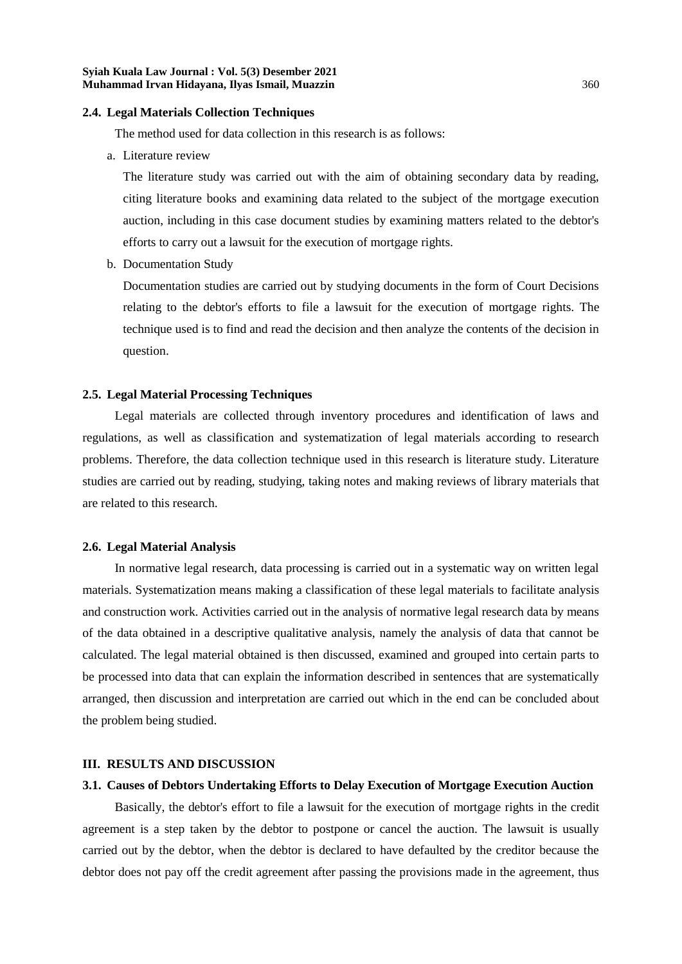#### **2.4. Legal Materials Collection Techniques**

The method used for data collection in this research is as follows:

a. Literature review

The literature study was carried out with the aim of obtaining secondary data by reading, citing literature books and examining data related to the subject of the mortgage execution auction, including in this case document studies by examining matters related to the debtor's efforts to carry out a lawsuit for the execution of mortgage rights.

b. Documentation Study

Documentation studies are carried out by studying documents in the form of Court Decisions relating to the debtor's efforts to file a lawsuit for the execution of mortgage rights. The technique used is to find and read the decision and then analyze the contents of the decision in question.

## **2.5. Legal Material Processing Techniques**

Legal materials are collected through inventory procedures and identification of laws and regulations, as well as classification and systematization of legal materials according to research problems. Therefore, the data collection technique used in this research is literature study. Literature studies are carried out by reading, studying, taking notes and making reviews of library materials that are related to this research.

# **2.6. Legal Material Analysis**

In normative legal research, data processing is carried out in a systematic way on written legal materials. Systematization means making a classification of these legal materials to facilitate analysis and construction work. Activities carried out in the analysis of normative legal research data by means of the data obtained in a descriptive qualitative analysis, namely the analysis of data that cannot be calculated. The legal material obtained is then discussed, examined and grouped into certain parts to be processed into data that can explain the information described in sentences that are systematically arranged, then discussion and interpretation are carried out which in the end can be concluded about the problem being studied.

#### **III. RESULTS AND DISCUSSION**

# **3.1. Causes of Debtors Undertaking Efforts to Delay Execution of Mortgage Execution Auction**

Basically, the debtor's effort to file a lawsuit for the execution of mortgage rights in the credit agreement is a step taken by the debtor to postpone or cancel the auction. The lawsuit is usually carried out by the debtor, when the debtor is declared to have defaulted by the creditor because the debtor does not pay off the credit agreement after passing the provisions made in the agreement, thus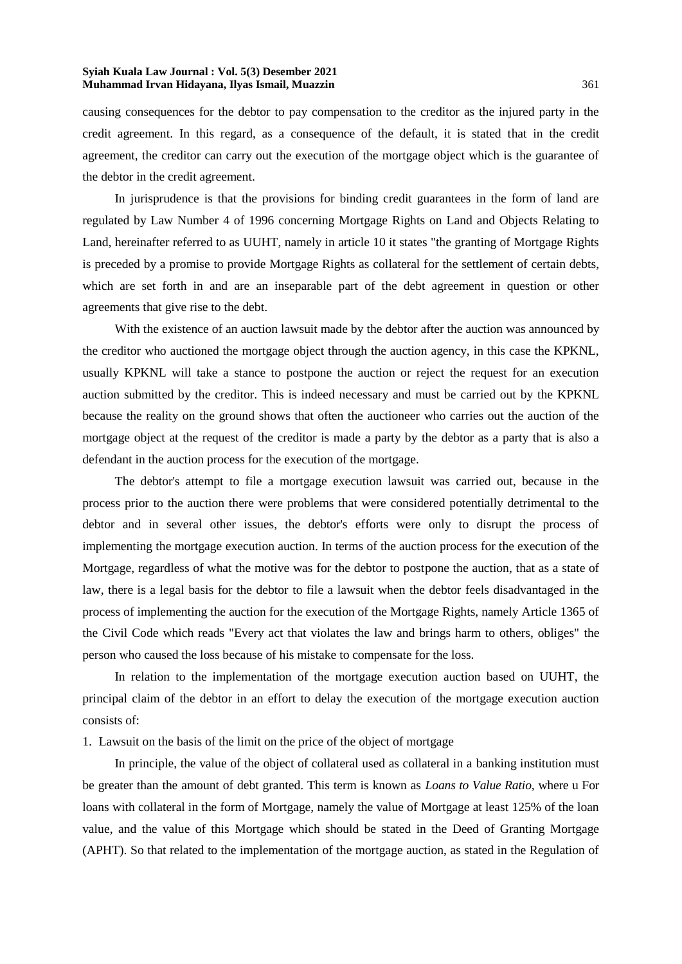causing consequences for the debtor to pay compensation to the creditor as the injured party in the credit agreement. In this regard, as a consequence of the default, it is stated that in the credit agreement, the creditor can carry out the execution of the mortgage object which is the guarantee of the debtor in the credit agreement.

In jurisprudence is that the provisions for binding credit guarantees in the form of land are regulated by Law Number 4 of 1996 concerning Mortgage Rights on Land and Objects Relating to Land, hereinafter referred to as UUHT, namely in article 10 it states "the granting of Mortgage Rights is preceded by a promise to provide Mortgage Rights as collateral for the settlement of certain debts, which are set forth in and are an inseparable part of the debt agreement in question or other agreements that give rise to the debt.

With the existence of an auction lawsuit made by the debtor after the auction was announced by the creditor who auctioned the mortgage object through the auction agency, in this case the KPKNL, usually KPKNL will take a stance to postpone the auction or reject the request for an execution auction submitted by the creditor. This is indeed necessary and must be carried out by the KPKNL because the reality on the ground shows that often the auctioneer who carries out the auction of the mortgage object at the request of the creditor is made a party by the debtor as a party that is also a defendant in the auction process for the execution of the mortgage.

The debtor's attempt to file a mortgage execution lawsuit was carried out, because in the process prior to the auction there were problems that were considered potentially detrimental to the debtor and in several other issues, the debtor's efforts were only to disrupt the process of implementing the mortgage execution auction. In terms of the auction process for the execution of the Mortgage, regardless of what the motive was for the debtor to postpone the auction, that as a state of law, there is a legal basis for the debtor to file a lawsuit when the debtor feels disadvantaged in the process of implementing the auction for the execution of the Mortgage Rights, namely Article 1365 of the Civil Code which reads "Every act that violates the law and brings harm to others, obliges" the person who caused the loss because of his mistake to compensate for the loss.

In relation to the implementation of the mortgage execution auction based on UUHT, the principal claim of the debtor in an effort to delay the execution of the mortgage execution auction consists of:

1. Lawsuit on the basis of the limit on the price of the object of mortgage

In principle, the value of the object of collateral used as collateral in a banking institution must be greater than the amount of debt granted. This term is known as *Loans to Value Ratio,* where u For loans with collateral in the form of Mortgage, namely the value of Mortgage at least 125% of the loan value, and the value of this Mortgage which should be stated in the Deed of Granting Mortgage (APHT). So that related to the implementation of the mortgage auction, as stated in the Regulation of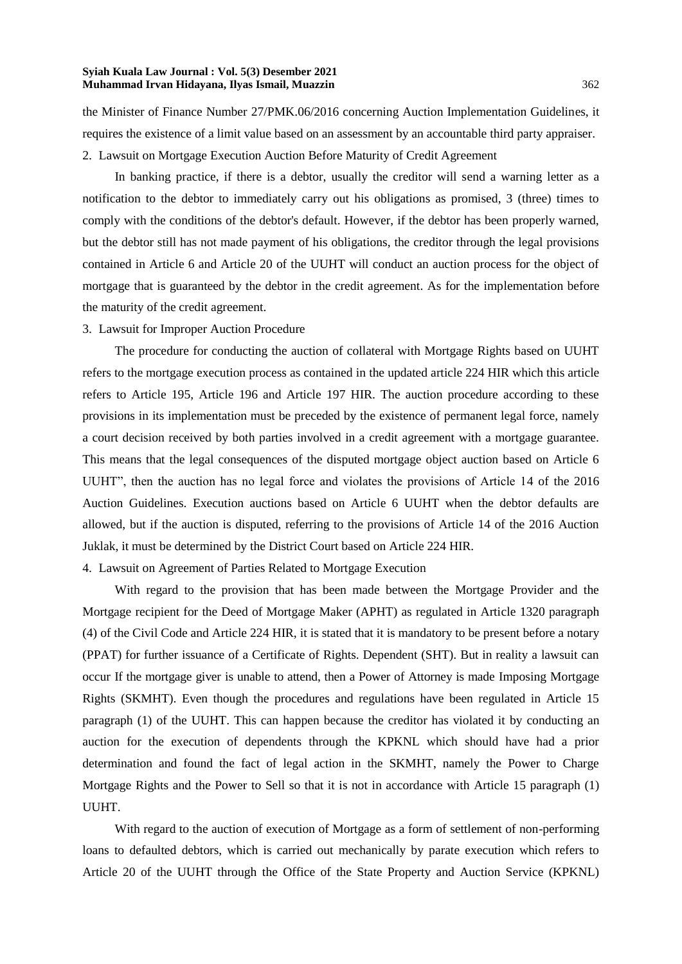the Minister of Finance Number 27/PMK.06/2016 concerning Auction Implementation Guidelines, it requires the existence of a limit value based on an assessment by an accountable third party appraiser. 2. Lawsuit on Mortgage Execution Auction Before Maturity of Credit Agreement

In banking practice, if there is a debtor, usually the creditor will send a warning letter as a notification to the debtor to immediately carry out his obligations as promised, 3 (three) times to comply with the conditions of the debtor's default. However, if the debtor has been properly warned, but the debtor still has not made payment of his obligations, the creditor through the legal provisions contained in Article 6 and Article 20 of the UUHT will conduct an auction process for the object of mortgage that is guaranteed by the debtor in the credit agreement. As for the implementation before the maturity of the credit agreement.

## 3. Lawsuit for Improper Auction Procedure

The procedure for conducting the auction of collateral with Mortgage Rights based on UUHT refers to the mortgage execution process as contained in the updated article 224 HIR which this article refers to Article 195, Article 196 and Article 197 HIR. The auction procedure according to these provisions in its implementation must be preceded by the existence of permanent legal force, namely a court decision received by both parties involved in a credit agreement with a mortgage guarantee. This means that the legal consequences of the disputed mortgage object auction based on Article 6 UUHT", then the auction has no legal force and violates the provisions of Article 14 of the 2016 Auction Guidelines. Execution auctions based on Article 6 UUHT when the debtor defaults are allowed, but if the auction is disputed, referring to the provisions of Article 14 of the 2016 Auction Juklak, it must be determined by the District Court based on Article 224 HIR.

#### 4. Lawsuit on Agreement of Parties Related to Mortgage Execution

With regard to the provision that has been made between the Mortgage Provider and the Mortgage recipient for the Deed of Mortgage Maker (APHT) as regulated in Article 1320 paragraph (4) of the Civil Code and Article 224 HIR, it is stated that it is mandatory to be present before a notary (PPAT) for further issuance of a Certificate of Rights. Dependent (SHT). But in reality a lawsuit can occur If the mortgage giver is unable to attend, then a Power of Attorney is made Imposing Mortgage Rights (SKMHT). Even though the procedures and regulations have been regulated in Article 15 paragraph (1) of the UUHT. This can happen because the creditor has violated it by conducting an auction for the execution of dependents through the KPKNL which should have had a prior determination and found the fact of legal action in the SKMHT, namely the Power to Charge Mortgage Rights and the Power to Sell so that it is not in accordance with Article 15 paragraph (1) UUHT.

With regard to the auction of execution of Mortgage as a form of settlement of non-performing loans to defaulted debtors, which is carried out mechanically by parate execution which refers to Article 20 of the UUHT through the Office of the State Property and Auction Service (KPKNL)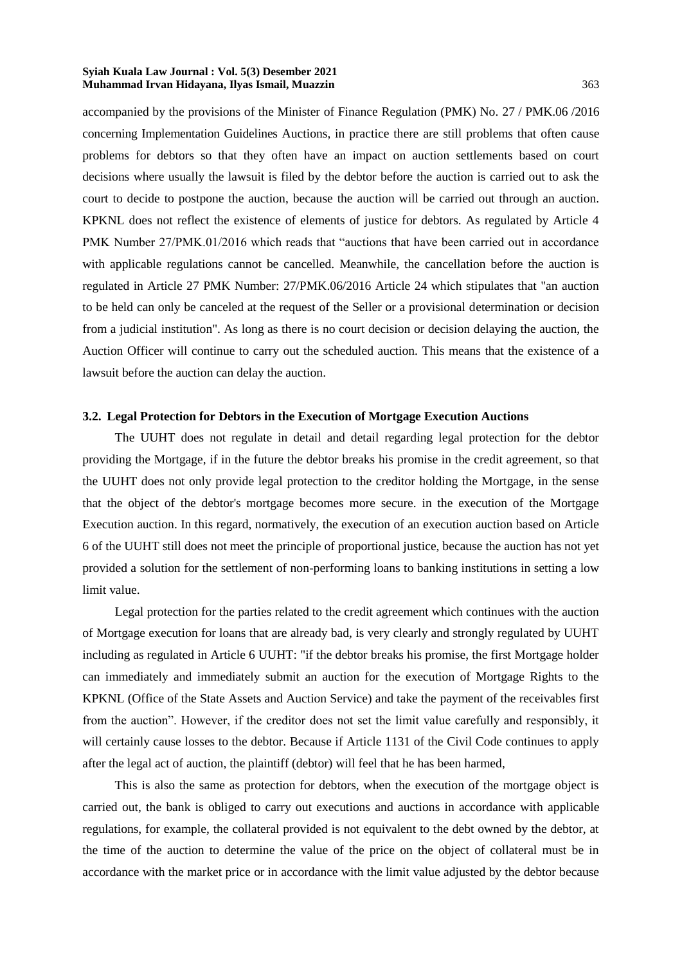accompanied by the provisions of the Minister of Finance Regulation (PMK) No. 27 / PMK.06 /2016 concerning Implementation Guidelines Auctions, in practice there are still problems that often cause problems for debtors so that they often have an impact on auction settlements based on court decisions where usually the lawsuit is filed by the debtor before the auction is carried out to ask the court to decide to postpone the auction, because the auction will be carried out through an auction. KPKNL does not reflect the existence of elements of justice for debtors. As regulated by Article 4 PMK Number 27/PMK.01/2016 which reads that "auctions that have been carried out in accordance with applicable regulations cannot be cancelled. Meanwhile, the cancellation before the auction is regulated in Article 27 PMK Number: 27/PMK.06/2016 Article 24 which stipulates that "an auction to be held can only be canceled at the request of the Seller or a provisional determination or decision from a judicial institution". As long as there is no court decision or decision delaying the auction, the Auction Officer will continue to carry out the scheduled auction. This means that the existence of a lawsuit before the auction can delay the auction.

## **3.2. Legal Protection for Debtors in the Execution of Mortgage Execution Auctions**

The UUHT does not regulate in detail and detail regarding legal protection for the debtor providing the Mortgage, if in the future the debtor breaks his promise in the credit agreement, so that the UUHT does not only provide legal protection to the creditor holding the Mortgage, in the sense that the object of the debtor's mortgage becomes more secure. in the execution of the Mortgage Execution auction. In this regard, normatively, the execution of an execution auction based on Article 6 of the UUHT still does not meet the principle of proportional justice, because the auction has not yet provided a solution for the settlement of non-performing loans to banking institutions in setting a low limit value.

Legal protection for the parties related to the credit agreement which continues with the auction of Mortgage execution for loans that are already bad, is very clearly and strongly regulated by UUHT including as regulated in Article 6 UUHT: "if the debtor breaks his promise, the first Mortgage holder can immediately and immediately submit an auction for the execution of Mortgage Rights to the KPKNL (Office of the State Assets and Auction Service) and take the payment of the receivables first from the auction". However, if the creditor does not set the limit value carefully and responsibly, it will certainly cause losses to the debtor. Because if Article 1131 of the Civil Code continues to apply after the legal act of auction, the plaintiff (debtor) will feel that he has been harmed,

This is also the same as protection for debtors, when the execution of the mortgage object is carried out, the bank is obliged to carry out executions and auctions in accordance with applicable regulations, for example, the collateral provided is not equivalent to the debt owned by the debtor, at the time of the auction to determine the value of the price on the object of collateral must be in accordance with the market price or in accordance with the limit value adjusted by the debtor because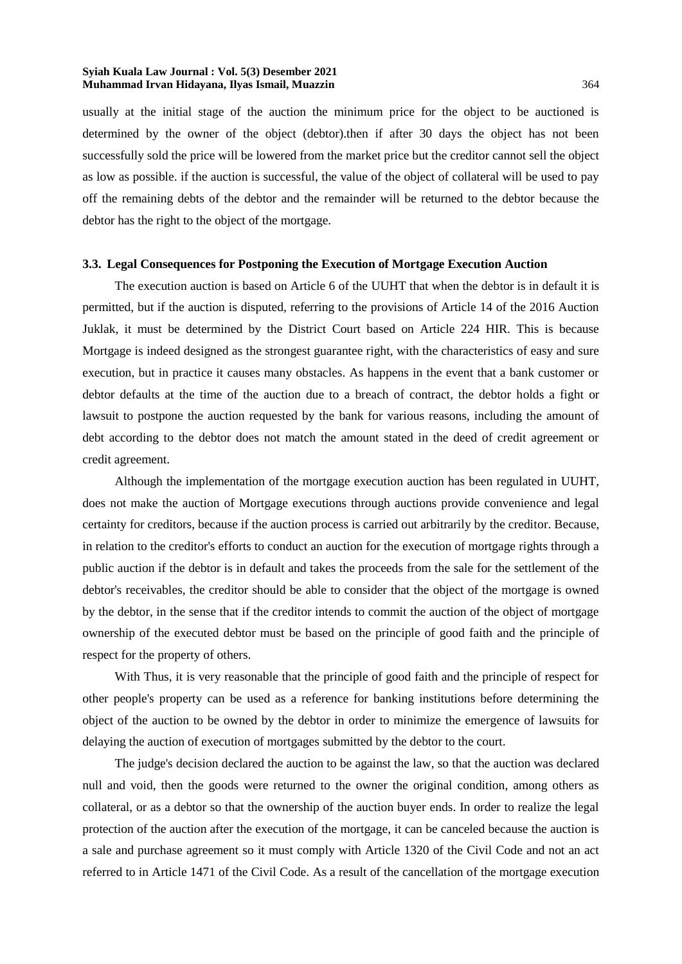usually at the initial stage of the auction the minimum price for the object to be auctioned is determined by the owner of the object (debtor).then if after 30 days the object has not been successfully sold the price will be lowered from the market price but the creditor cannot sell the object as low as possible. if the auction is successful, the value of the object of collateral will be used to pay off the remaining debts of the debtor and the remainder will be returned to the debtor because the debtor has the right to the object of the mortgage.

#### **3.3. Legal Consequences for Postponing the Execution of Mortgage Execution Auction**

The execution auction is based on Article 6 of the UUHT that when the debtor is in default it is permitted, but if the auction is disputed, referring to the provisions of Article 14 of the 2016 Auction Juklak, it must be determined by the District Court based on Article 224 HIR. This is because Mortgage is indeed designed as the strongest guarantee right, with the characteristics of easy and sure execution, but in practice it causes many obstacles. As happens in the event that a bank customer or debtor defaults at the time of the auction due to a breach of contract, the debtor holds a fight or lawsuit to postpone the auction requested by the bank for various reasons, including the amount of debt according to the debtor does not match the amount stated in the deed of credit agreement or credit agreement.

Although the implementation of the mortgage execution auction has been regulated in UUHT, does not make the auction of Mortgage executions through auctions provide convenience and legal certainty for creditors, because if the auction process is carried out arbitrarily by the creditor. Because, in relation to the creditor's efforts to conduct an auction for the execution of mortgage rights through a public auction if the debtor is in default and takes the proceeds from the sale for the settlement of the debtor's receivables, the creditor should be able to consider that the object of the mortgage is owned by the debtor, in the sense that if the creditor intends to commit the auction of the object of mortgage ownership of the executed debtor must be based on the principle of good faith and the principle of respect for the property of others.

With Thus, it is very reasonable that the principle of good faith and the principle of respect for other people's property can be used as a reference for banking institutions before determining the object of the auction to be owned by the debtor in order to minimize the emergence of lawsuits for delaying the auction of execution of mortgages submitted by the debtor to the court.

The judge's decision declared the auction to be against the law, so that the auction was declared null and void, then the goods were returned to the owner the original condition, among others as collateral, or as a debtor so that the ownership of the auction buyer ends. In order to realize the legal protection of the auction after the execution of the mortgage, it can be canceled because the auction is a sale and purchase agreement so it must comply with Article 1320 of the Civil Code and not an act referred to in Article 1471 of the Civil Code. As a result of the cancellation of the mortgage execution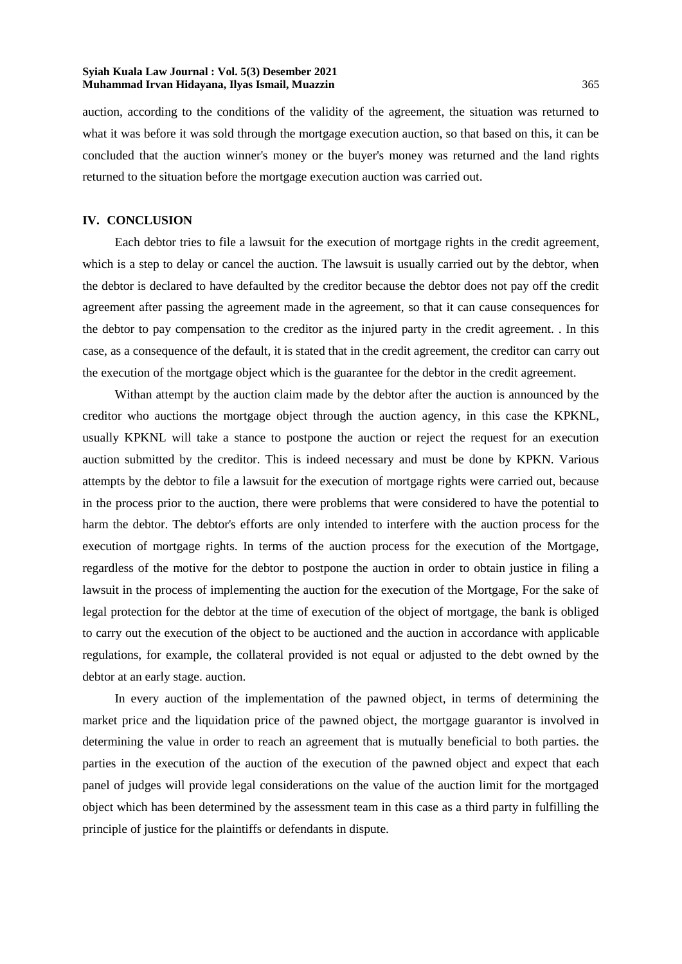auction, according to the conditions of the validity of the agreement, the situation was returned to what it was before it was sold through the mortgage execution auction, so that based on this, it can be concluded that the auction winner's money or the buyer's money was returned and the land rights returned to the situation before the mortgage execution auction was carried out.

## **IV. CONCLUSION**

Each debtor tries to file a lawsuit for the execution of mortgage rights in the credit agreement, which is a step to delay or cancel the auction. The lawsuit is usually carried out by the debtor, when the debtor is declared to have defaulted by the creditor because the debtor does not pay off the credit agreement after passing the agreement made in the agreement, so that it can cause consequences for the debtor to pay compensation to the creditor as the injured party in the credit agreement. . In this case, as a consequence of the default, it is stated that in the credit agreement, the creditor can carry out the execution of the mortgage object which is the guarantee for the debtor in the credit agreement.

Withan attempt by the auction claim made by the debtor after the auction is announced by the creditor who auctions the mortgage object through the auction agency, in this case the KPKNL, usually KPKNL will take a stance to postpone the auction or reject the request for an execution auction submitted by the creditor. This is indeed necessary and must be done by KPKN. Various attempts by the debtor to file a lawsuit for the execution of mortgage rights were carried out, because in the process prior to the auction, there were problems that were considered to have the potential to harm the debtor. The debtor's efforts are only intended to interfere with the auction process for the execution of mortgage rights. In terms of the auction process for the execution of the Mortgage, regardless of the motive for the debtor to postpone the auction in order to obtain justice in filing a lawsuit in the process of implementing the auction for the execution of the Mortgage, For the sake of legal protection for the debtor at the time of execution of the object of mortgage, the bank is obliged to carry out the execution of the object to be auctioned and the auction in accordance with applicable regulations, for example, the collateral provided is not equal or adjusted to the debt owned by the debtor at an early stage. auction.

In every auction of the implementation of the pawned object, in terms of determining the market price and the liquidation price of the pawned object, the mortgage guarantor is involved in determining the value in order to reach an agreement that is mutually beneficial to both parties. the parties in the execution of the auction of the execution of the pawned object and expect that each panel of judges will provide legal considerations on the value of the auction limit for the mortgaged object which has been determined by the assessment team in this case as a third party in fulfilling the principle of justice for the plaintiffs or defendants in dispute.